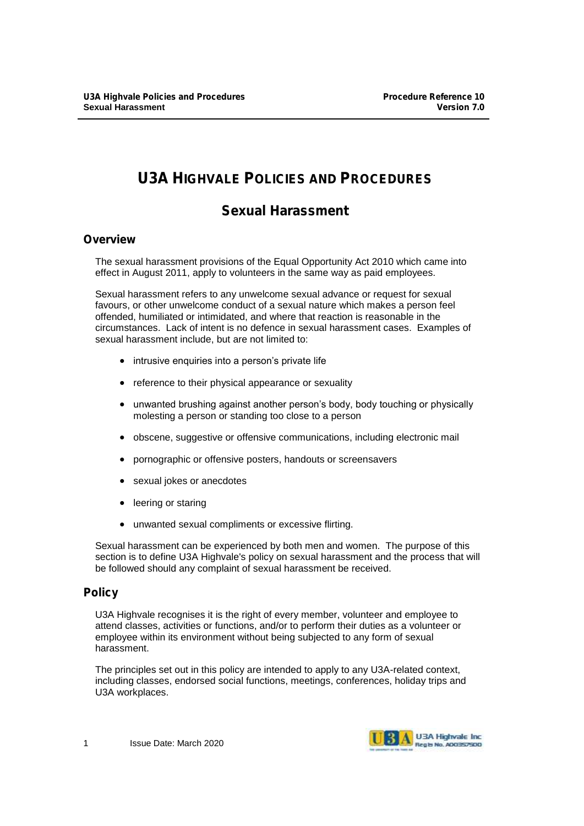# **U3A HIGHVALE POLICIES AND PROCEDURES**

## **Sexual Harassment**

## **Overview**

The sexual harassment provisions of the Equal Opportunity Act 2010 which came into effect in August 2011, apply to volunteers in the same way as paid employees.

Sexual harassment refers to any unwelcome sexual advance or request for sexual favours, or other unwelcome conduct of a sexual nature which makes a person feel offended, humiliated or intimidated, and where that reaction is reasonable in the circumstances. Lack of intent is no defence in sexual harassment cases. Examples of sexual harassment include, but are not limited to:

- intrusive enquiries into a person's private life
- reference to their physical appearance or sexuality
- unwanted brushing against another person's body, body touching or physically molesting a person or standing too close to a person
- obscene, suggestive or offensive communications, including electronic mail
- pornographic or offensive posters, handouts or screensavers
- sexual jokes or anecdotes
- leering or staring
- unwanted sexual compliments or excessive flirting.

Sexual harassment can be experienced by both men and women. The purpose of this section is to define U3A Highvale's policy on sexual harassment and the process that will be followed should any complaint of sexual harassment be received.

## **Policy**

U3A Highvale recognises it is the right of every member, volunteer and employee to attend classes, activities or functions, and/or to perform their duties as a volunteer or employee within its environment without being subjected to any form of sexual harassment.

The principles set out in this policy are intended to apply to any U3A-related context, including classes, endorsed social functions, meetings, conferences, holiday trips and U3A workplaces.

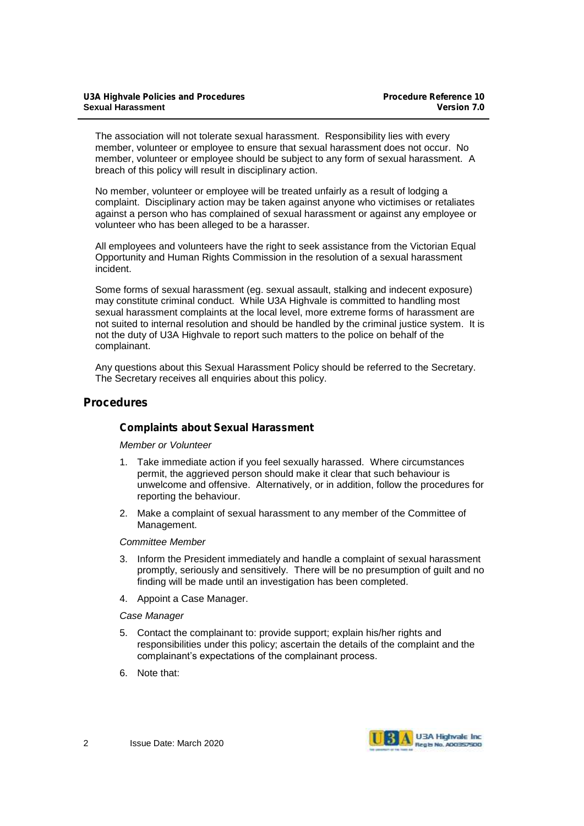The association will not tolerate sexual harassment. Responsibility lies with every member, volunteer or employee to ensure that sexual harassment does not occur. No member, volunteer or employee should be subject to any form of sexual harassment. A breach of this policy will result in disciplinary action.

No member, volunteer or employee will be treated unfairly as a result of lodging a complaint. Disciplinary action may be taken against anyone who victimises or retaliates against a person who has complained of sexual harassment or against any employee or volunteer who has been alleged to be a harasser.

All employees and volunteers have the right to seek assistance from the Victorian Equal Opportunity and Human Rights Commission in the resolution of a sexual harassment incident.

Some forms of sexual harassment (eg. sexual assault, stalking and indecent exposure) may constitute criminal conduct. While U3A Highvale is committed to handling most sexual harassment complaints at the local level, more extreme forms of harassment are not suited to internal resolution and should be handled by the criminal justice system. It is not the duty of U3A Highvale to report such matters to the police on behalf of the complainant.

Any questions about this Sexual Harassment Policy should be referred to the Secretary. The Secretary receives all enquiries about this policy.

### **Procedures**

#### **Complaints about Sexual Harassment**

*Member or Volunteer*

- 1. Take immediate action if you feel sexually harassed. Where circumstances permit, the aggrieved person should make it clear that such behaviour is unwelcome and offensive. Alternatively, or in addition, follow the procedures for reporting the behaviour.
- 2. Make a complaint of sexual harassment to any member of the Committee of Management.

#### *Committee Member*

- 3. Inform the President immediately and handle a complaint of sexual harassment promptly, seriously and sensitively. There will be no presumption of guilt and no finding will be made until an investigation has been completed.
- 4. Appoint a Case Manager.

#### *Case Manager*

- 5. Contact the complainant to: provide support; explain his/her rights and responsibilities under this policy; ascertain the details of the complaint and the complainant's expectations of the complainant process.
- 6. Note that:

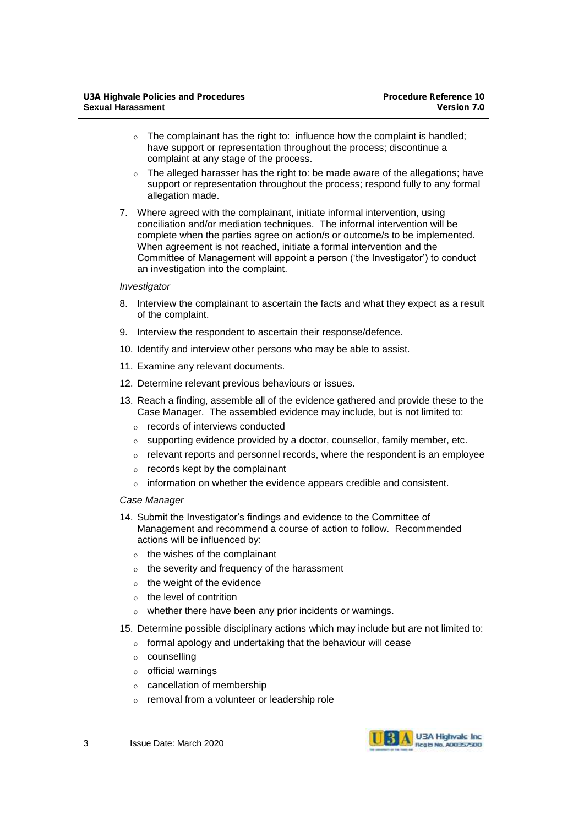- The complainant has the right to: influence how the complaint is handled; have support or representation throughout the process; discontinue a complaint at any stage of the process.
- The alleged harasser has the right to: be made aware of the allegations; have support or representation throughout the process; respond fully to any formal allegation made.
- 7. Where agreed with the complainant, initiate informal intervention, using conciliation and/or mediation techniques. The informal intervention will be complete when the parties agree on action/s or outcome/s to be implemented. When agreement is not reached, initiate a formal intervention and the Committee of Management will appoint a person ('the Investigator') to conduct an investigation into the complaint.

#### *Investigator*

- 8. Interview the complainant to ascertain the facts and what they expect as a result of the complaint.
- 9. Interview the respondent to ascertain their response/defence.
- 10. Identify and interview other persons who may be able to assist.
- 11. Examine any relevant documents.
- 12. Determine relevant previous behaviours or issues.
- 13. Reach a finding, assemble all of the evidence gathered and provide these to the Case Manager. The assembled evidence may include, but is not limited to:
	- records of interviews conducted
	- supporting evidence provided by a doctor, counsellor, family member, etc.
	- o relevant reports and personnel records, where the respondent is an employee
	- $o$  records kept by the complainant
	- o information on whether the evidence appears credible and consistent.

#### *Case Manager*

- 14. Submit the Investigator's findings and evidence to the Committee of Management and recommend a course of action to follow. Recommended actions will be influenced by:
	- o the wishes of the complainant
	- $o$  the severity and frequency of the harassment
	- $o$  the weight of the evidence
	- the level of contrition
	- whether there have been any prior incidents or warnings.

#### 15. Determine possible disciplinary actions which may include but are not limited to:

- o formal apology and undertaking that the behaviour will cease
- o counselling
- $o$  official warnings
- cancellation of membership
- o removal from a volunteer or leadership role